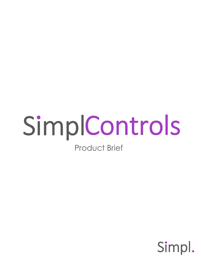## SimplControls Product Brief

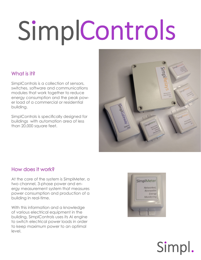#### What is it?

SimplControls is a collection of sensors, switches, software and communications modules that work together to reduce energy consumption and the peak power load of a commercial or residential building.

SimplControls is specifically designed for buildings with automation area of less than 20,000 square feet.



#### How does it work?

At the core of the system is SimplMeter, a two channel, 3-phase power and energy measurement system that measures power consumption and production of a building in real-time.

With this information and a knowledge of various electrical equipment in the building, SimplControls uses its AI engine to switch electrical power loads in order to keep maximum power to an optimal level.

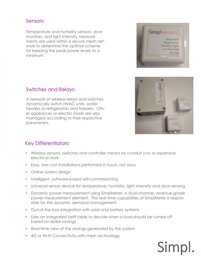#### Sensors:

Temperature and humidity sensors, door monitors, and light intensity measurements are used within a secure mesh network to determine the optimal scheme for keeping the peak power levels to a minimum.





A network of wireless relays and switches dynamically switch HVAC units, water heaters or refrigerators and freezers. Other appliances or electric loads are also managed according to their respective parameters.



Simpl

#### Key Differentiators:

- Wireless sensors, switches and controller means no conduit runs or expensive electrical work
- Easy, low-cost installations performed in hours, not days
- Online system design
- Intelligent, software-based self-commissioning
- Universal sensor device for temperature, humidity, light intensity and door sensing
- Dynamic power measurement using SimplMeter, a dual-channel, revenue-grade power measurement element. The real-time capabilities of SimplMeter is responsible for the dynamic demand management
- Out-of-the-box integration with solar and battery systems
- Uses an integrated tariff table to decide when a load should be turned off based on dollar savings
- Real-time view of the savings generated by the system
- 4G or Wi-Fi Connectivity with mesh technology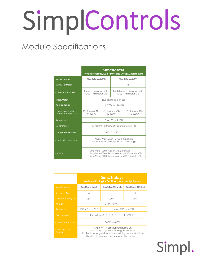### Module Specifications

|                                               | SimplMeter<br>Wireless Realtime, Dual Power and Energy Measurement                                                                         |  |                             |                                                     |  |
|-----------------------------------------------|--------------------------------------------------------------------------------------------------------------------------------------------|--|-----------------------------|-----------------------------------------------------|--|
| Model Number                                  | SimplMeter-0000                                                                                                                            |  | SimplMeter-0001             |                                                     |  |
| Number of Meters                              |                                                                                                                                            |  | 2                           |                                                     |  |
| <b>Current Transformers</b>                   | Meter is equipped with<br>two. 1"-diameter CTs                                                                                             |  |                             | Each Meter is equipped with<br>two, 1"-diameter CTs |  |
| Phase/Meter                                   | Split phase or 3-phase                                                                                                                     |  |                             |                                                     |  |
| Voltage Range                                 | 100VAC to 480VAC                                                                                                                           |  |                             |                                                     |  |
| Current Range with<br>Different Size Rope CTs | 1" Diameter CT<br>$10 - 100A$                                                                                                              |  | 4" Diameter CTs<br>10-1000A | 8" Diameter CTs<br>10-5000A                         |  |
| Dimensions                                    | $2"$ W $\times$ 2" L $\times$ 1.5" D                                                                                                       |  |                             |                                                     |  |
| Environmental                                 | IP67 rating; -30 °C to 60 °C at up to 95% RH                                                                                               |  |                             |                                                     |  |
| <b>Storage Temperature</b>                    | -30 °C to 60 °C                                                                                                                            |  |                             |                                                     |  |
| <b>Communication Protocol</b>                 | Private Wi-Fi Mesh Network based on<br>Simpl Global's patent-pending technology                                                            |  |                             |                                                     |  |
| Options                                       | SimpIMeter-0002: Add 1"-Diameter CTs<br>SimplMeter-0003: Replace or Add 4"-Diameter CTs<br>SimplMeter-0004: Replace of Add 8"-Diameter CTs |  |                             |                                                     |  |

|                            | <b>SimplRelays</b><br>Wireless Switching for Electrical Loads and Appliances                                                                                                                       |                          |                      |  |
|----------------------------|----------------------------------------------------------------------------------------------------------------------------------------------------------------------------------------------------|--------------------------|----------------------|--|
| Model Number               | SimplRelays-HVAC                                                                                                                                                                                   | SimplRelays-30A-single   | SimplRelays-30A-daul |  |
| <b>Number of Relays</b>    | $\overline{A}$                                                                                                                                                                                     |                          | 2                    |  |
| Current per Relay (A)      | 2A                                                                                                                                                                                                 | 30A                      | 30A                  |  |
| Voltage                    | 24 to 250VAC                                                                                                                                                                                       |                          |                      |  |
| <b>Dimensions</b>          | $2''$ W x $2''$ I x 1.5" D                                                                                                                                                                         | $5"$ W x 3.8"   x 2.3" D |                      |  |
| Environmental              | IP67 rating; -30 °C to 60 °C at up to 95% RH                                                                                                                                                       |                          |                      |  |
| <b>Storage Temperature</b> | $-30$ °C to 60 °C                                                                                                                                                                                  |                          |                      |  |
| Communication<br>Protocol  | Private Wi-Fi Mesh Network based on<br>Simpl Global's patent-pending technology<br>LoRa Radio for long-distance, inter-building communications.<br>Uses Simpl's proprietary communication protocol |                          |                      |  |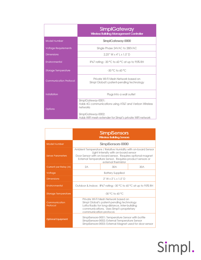|                               | <b>SimplGateway</b><br><b>Wireless Building Management Controller</b>                                                                                                      |  |
|-------------------------------|----------------------------------------------------------------------------------------------------------------------------------------------------------------------------|--|
| Model Number                  | SimplGateway-0000                                                                                                                                                          |  |
| <b>Voltage Requirements</b>   | Single Phase 24VAC to 280VAC                                                                                                                                               |  |
| <b>Dimensions</b>             | $2.25"$ W x 4"   x 1.5" D                                                                                                                                                  |  |
| Environmental                 | IP67 rating; -30 °C to 60 °C at up to 95% RH                                                                                                                               |  |
| Storage Temperature           | $-30$ °C to 60 °C.                                                                                                                                                         |  |
| <b>Communication Protocol</b> | Private Wi-Fi Mesh Network based on<br>Simpl Global's patent-pending technology                                                                                            |  |
| Installation                  | Plugs into a wall outlet                                                                                                                                                   |  |
| Options                       | SimplGateway-0001:<br>Adds 4G communications using AT&T and Verizon Wireless<br>networks<br>SimplGateway-0002:<br>Adds WiFi mesh extender for Simpl's private WiFi network |  |

|                            | <b>SimplSensors</b><br><b>Wireless Building Sensors</b>                                                                                                                                                                                               |     |     |  |
|----------------------------|-------------------------------------------------------------------------------------------------------------------------------------------------------------------------------------------------------------------------------------------------------|-----|-----|--|
| Model Number               | SimplSensors-0000                                                                                                                                                                                                                                     |     |     |  |
| <b>Sense Parameters</b>    | Ambient Temperature / Relative Humidity with on-board Sensor<br>Light Intensity with on-board sensor<br>Door Sensor with on-board sensor. Requires optional magnet<br>External Temperature Sensor. Requires product sensors or<br>external thermistor |     |     |  |
| Current per Relay (A)      | 2Α                                                                                                                                                                                                                                                    | 30A | 30A |  |
| Voltage                    | <b>Battery Supplied</b>                                                                                                                                                                                                                               |     |     |  |
| Dimensions                 | $2''$ W x $2''$ I x 1.5" D                                                                                                                                                                                                                            |     |     |  |
| Environmental              | Outdoor & Indoor. IP67 rating: -30 °C to 60 °C at up to 95% RH                                                                                                                                                                                        |     |     |  |
| <b>Storage Temperature</b> | $-30$ °C to 60 °C.                                                                                                                                                                                                                                    |     |     |  |
| Communication<br>Protocol  | Private Wi-Fi Mesh Network based on<br>Simpl Global's patent-pending technology<br>LoRa Radio for long-distance, inter-building<br>communications. Uses Simpl's proprietary<br>communication protocol.                                                |     |     |  |
| <b>Optional Equipment</b>  | SimplSensors-0001: Temperature Sensor with bottle<br>SimplSensors-0002: External Temperature Sensor<br>SimpISensors-0003: External Magnet used for door sensor                                                                                        |     |     |  |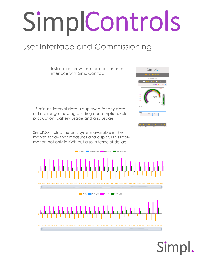### User Interface and Commissioning

Installation crews use their cell phones to interface with SimplControls

15-minute interval data is displayed for any data or time range showing building consumption, solar production, battery usage and grid usage.

SimplControls is the only system available in the market today that measures and displays this information not only in kWh but also in terms of dollars.



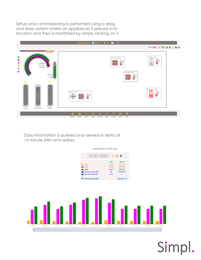Setup and commissioning is performed using a drag and drop system where an appliances is placed in its location and then is monitored by simply clicking on it.



Daily information is queried and viewed in terms of 15-minute kWh and dollars.